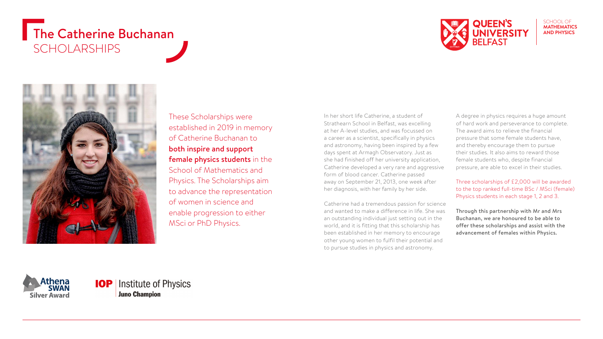## The Catherine Buchanan SCHOLARSHIPS



#### SCHOOL OF **MATHEMATICS AND PHYSICS**



These Scholarships were established in 2019 in memory of Catherine Buchanan to both inspire and support female physics students in the School of Mathematics and Physics. The Scholarships aim to advance the representation of women in science and enable progression to either MSci or PhD Physics.

In her short life Catherine, a student of Strathearn School in Belfast, was excelling at her A-level studies, and was focussed on a career as a scientist, specifically in physics and astronomy, having been inspired by a few days spent at Armagh Observatory. Just as she had finished off her university application, Catherine developed a very rare and aggressive form of blood cancer. Catherine passed away on September 21, 2013, one week after her diagnosis, with her family by her side.

Catherine had a tremendous passion for science and wanted to make a difference in life. She was an outstanding individual just setting out in the world, and it is fitting that this scholarship has been established in her memory to encourage other young women to fulfil their potential and to pursue studies in physics and astronomy.

A degree in physics requires a huge amount of hard work and perseverance to complete. The award aims to relieve the financial pressure that some female students have, and thereby encourage them to pursue their studies. It also aims to reward those female students who, despite financial pressure, are able to excel in their studies.

Three scholarships of £2,000 will be awarded to the top ranked full-time BSc / MSci (female) Physics students in each stage 1, 2 and 3.

Through this partnership with Mr and Mrs Buchanan, we are honoured to be able to offer these scholarships and assist with the advancement of females within Physics.

Athena **SWAI Silver Award**